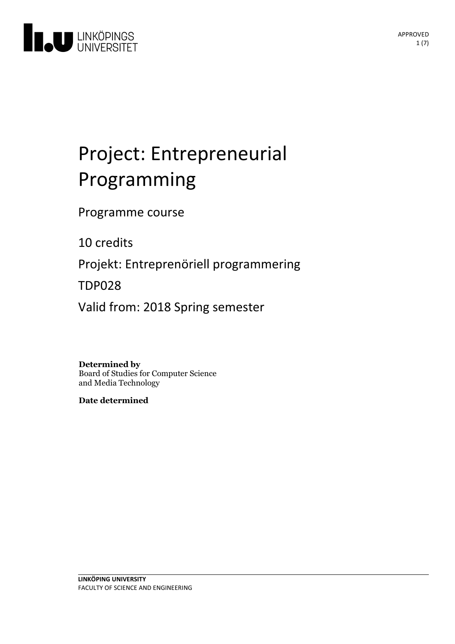

# Project: Entrepreneurial Programming

Programme course

10 credits

Projekt: Entreprenöriell programmering

TDP028

Valid from: 2018 Spring semester

**Determined by**

Board of Studies for Computer Science and Media Technology

**Date determined**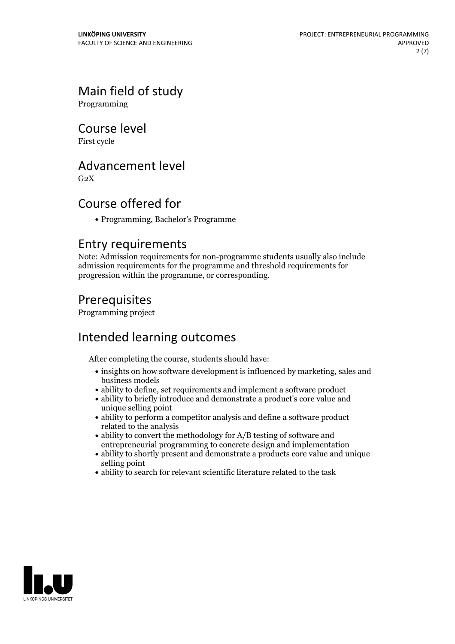# Main field of study

Programming

### Course level

First cycle

## Advancement level

 $G<sub>2</sub>X$ 

# Course offered for

Programming, Bachelor's Programme

### Entry requirements

Note: Admission requirements for non-programme students usually also include admission requirements for the programme and threshold requirements for progression within the programme, or corresponding.

## Prerequisites

Programming project

# Intended learning outcomes

After completing the course, students should have:

- insights on how software development is influenced by marketing, sales and business models
- ability to define, set requirements and implement a software product
- ability to briefly introduce and demonstrate a product's core value and unique selling point
- ability to perform a competitor analysis and define a software product related to the analysis
- ability to convert the methodology for A/B testing of software and entrepreneurial programming to concrete design and implementation
- ability to shortly present and demonstrate a products core value and unique selling point
- ability to search for relevant scientific literature related to the task

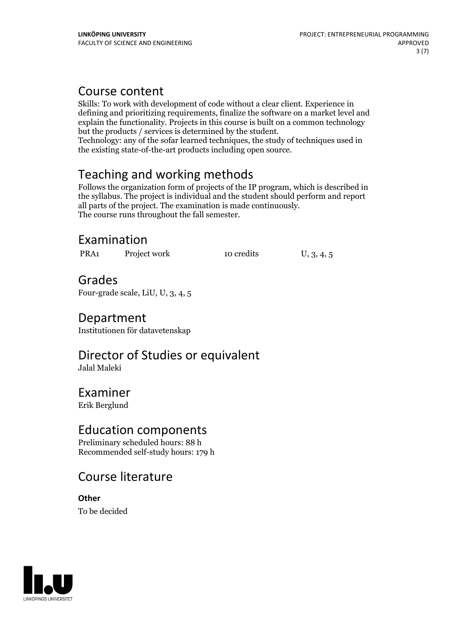### Course content

Skills: To work with development of code without a clear client. Experience in defining and prioritizing requirements, finalize the software on a market level and explain the functionality. Projects in this course is built on a common technology but the products / services is determined by the student.

Technology: any of the sofar learned techniques, the study of techniques used in the existing state-of-the-art products including open source.

# Teaching and working methods

Follows the organization form of projects of the IP program, which is described in the syllabus. The project is individual and the student should perform and report all parts of the project. The examination is made continuously. The course runs throughout the fall semester.

# Examination

PRA1 Project work 10 credits U, 3, 4, 5

Grades Four-grade scale, LiU, U, 3, 4, 5

# Department

Institutionen för datavetenskap

Director of Studies or equivalent Jalal Maleki

Examiner Erik Berglund

### Education components

Preliminary scheduled hours: 88 h Recommended self-study hours: 179 h

# Course literature

**Other** To be decided

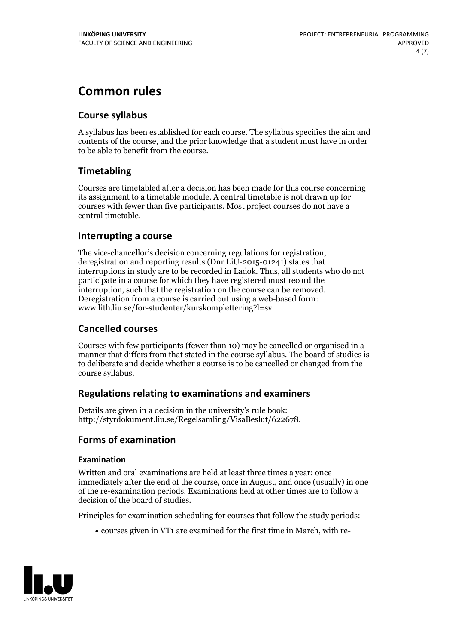# **Common rules**

### **Course syllabus**

A syllabus has been established for each course. The syllabus specifies the aim and contents of the course, and the prior knowledge that a student must have in order to be able to benefit from the course.

### **Timetabling**

Courses are timetabled after a decision has been made for this course concerning its assignment to a timetable module. A central timetable is not drawn up for courses with fewer than five participants. Most project courses do not have a central timetable.

### **Interrupting a course**

The vice-chancellor's decision concerning regulations for registration, deregistration and reporting results (Dnr LiU-2015-01241) states that interruptions in study are to be recorded in Ladok. Thus, all students who do not participate in a course for which they have registered must record the interruption, such that the registration on the course can be removed. Deregistration from <sup>a</sup> course is carried outusing <sup>a</sup> web-based form: www.lith.liu.se/for-studenter/kurskomplettering?l=sv.

### **Cancelled courses**

Courses with few participants (fewer than 10) may be cancelled or organised in a manner that differs from that stated in the course syllabus. The board of studies is to deliberate and decide whether a course is to be cancelled orchanged from the course syllabus.

### **Regulations relatingto examinations and examiners**

Details are given in a decision in the university's rule book: http://styrdokument.liu.se/Regelsamling/VisaBeslut/622678.

### **Forms of examination**

### **Examination**

Written and oral examinations are held at least three times a year: once immediately after the end of the course, once in August, and once (usually) in one of the re-examination periods. Examinations held at other times are to follow a decision of the board of studies.

Principles for examination scheduling for courses that follow the study periods:

courses given in VT1 are examined for the first time in March, with re-

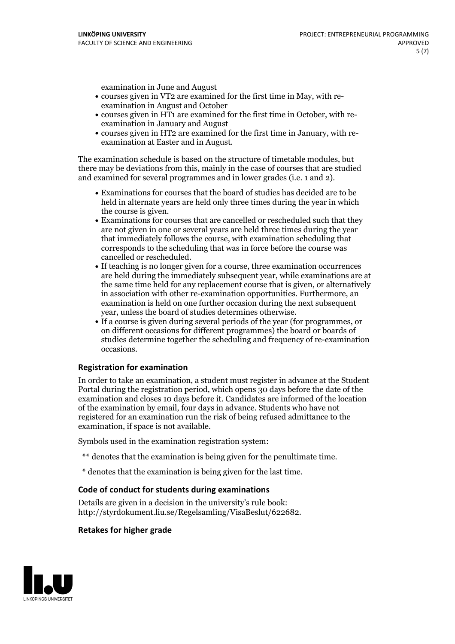examination in June and August

- courses given in VT2 are examined for the first time in May, with re-examination in August and October
- courses given in HT1 are examined for the first time in October, with re-examination in January and August
- courses given in HT2 are examined for the first time in January, with re-examination at Easter and in August.

The examination schedule is based on the structure of timetable modules, but there may be deviations from this, mainly in the case of courses that are studied and examined for several programmes and in lower grades (i.e. 1 and 2).

- Examinations for courses that the board of studies has decided are to be held in alternate years are held only three times during the year in which
- the course is given.<br>• Examinations for courses that are cancelled or rescheduled such that they are not given in one or several years are held three times during the year that immediately follows the course, with examination scheduling that corresponds to the scheduling that was in force before the course was cancelled or rescheduled.<br>• If teaching is no longer given for a course, three examination occurrences
- are held during the immediately subsequent year, while examinations are at the same time held for any replacement course that is given, or alternatively in association with other re-examination opportunities. Furthermore, an examination is held on one further occasion during the next subsequent year, unless the board of studies determines otherwise.<br>• If a course is given during several periods of the year (for programmes, or
- on different occasions for different programmes) the board orboards of studies determine together the scheduling and frequency of re-examination occasions.

### **Registration for examination**

In order to take an examination, a student must register in advance at the Student Portal during the registration period, which opens 30 days before the date of the examination and closes 10 days before it. Candidates are informed of the location of the examination by email, four days in advance. Students who have not registered for an examination run the risk of being refused admittance to the examination, if space is not available.

Symbols used in the examination registration system:

- \*\* denotes that the examination is being given for the penultimate time.
- \* denotes that the examination is being given for the last time.

### **Code of conduct for students during examinations**

Details are given in a decision in the university's rule book: http://styrdokument.liu.se/Regelsamling/VisaBeslut/622682.

#### **Retakes for higher grade**

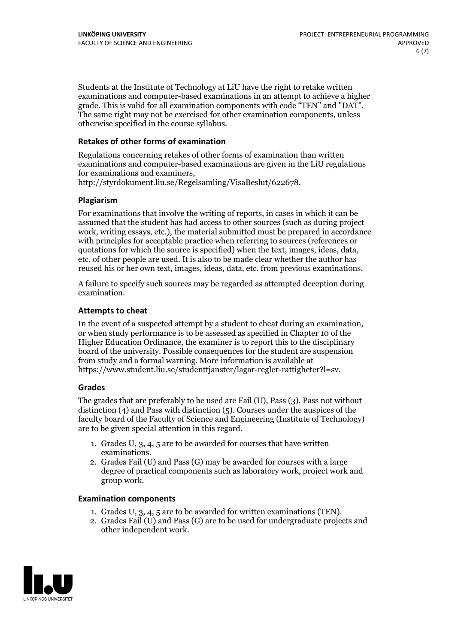Students at the Institute of Technology at LiU have the right to retake written examinations and computer-based examinations in an attempt to achieve a higher grade. This is valid for all examination components with code "TEN" and "DAT". The same right may not be exercised for other examination components, unless otherwise specified in the course syllabus.

### **Retakes of other forms of examination**

Regulations concerning retakes of other forms of examination than written examinations and computer-based examinations are given in the LiU regulations for examinations and examiners, http://styrdokument.liu.se/Regelsamling/VisaBeslut/622678.

### **Plagiarism**

For examinations that involve the writing of reports, in cases in which it can be assumed that the student has had access to other sources (such as during project work, writing essays, etc.), the material submitted must be prepared in accordance with principles for acceptable practice when referring to sources (references or quotations for which the source is specified) when the text, images, ideas, data, etc. of other people are used. It is also to be made clear whether the author has reused his or her own text, images, ideas, data, etc. from previous examinations.

A failure to specify such sources may be regarded as attempted deception during examination.

### **Attempts to cheat**

In the event of <sup>a</sup> suspected attempt by <sup>a</sup> student to cheat during an examination, or when study performance is to be assessed as specified in Chapter <sup>10</sup> of the Higher Education Ordinance, the examiner is to report this to the disciplinary board of the university. Possible consequences for the student are suspension from study and a formal warning. More information is available at https://www.student.liu.se/studenttjanster/lagar-regler-rattigheter?l=sv.

### **Grades**

The grades that are preferably to be used are Fail (U), Pass (3), Pass not without distinction  $(4)$  and Pass with distinction  $(5)$ . Courses under the auspices of the faculty board of the Faculty of Science and Engineering (Institute of Technology) are to be given special attention in this regard.

- 1. Grades U, 3, 4, 5 are to be awarded for courses that have written
- examinations. 2. Grades Fail (U) and Pass (G) may be awarded for courses with <sup>a</sup> large degree of practical components such as laboratory work, project work and group work.

### **Examination components**

- 
- 1. Grades U, 3, 4, <sup>5</sup> are to be awarded for written examinations (TEN). 2. Grades Fail (U) and Pass (G) are to be used for undergraduate projects and other independent work.